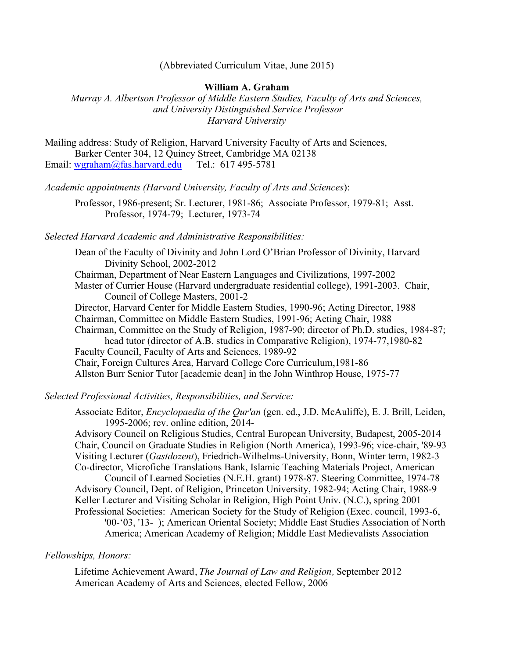(Abbreviated Curriculum Vitae, June 2015)

#### **William A. Graham**

*Murray A. Albertson Professor of Middle Eastern Studies, Faculty of Arts and Sciences, and University Distinguished Service Professor Harvard University*

Mailing address: Study of Religion, Harvard University Faculty of Arts and Sciences, Barker Center 304, 12 Quincy Street, Cambridge MA 02138 Email: wgraham@fas.harvard.edu Tel.: 617 495-5781

*Academic appointments (Harvard University, Faculty of Arts and Sciences*):

Professor, 1986-present; Sr. Lecturer, 1981-86; Associate Professor, 1979-81; Asst. Professor, 1974-79; Lecturer, 1973-74

*Selected Harvard Academic and Administrative Responsibilities:*

Dean of the Faculty of Divinity and John Lord O'Brian Professor of Divinity, Harvard Divinity School, 2002-2012 Chairman, Department of Near Eastern Languages and Civilizations, 1997-2002 Master of Currier House (Harvard undergraduate residential college), 1991-2003. Chair, Council of College Masters, 2001-2 Director, Harvard Center for Middle Eastern Studies, 1990-96; Acting Director, 1988 Chairman, Committee on Middle Eastern Studies, 1991-96; Acting Chair, 1988 Chairman, Committee on the Study of Religion, 1987-90; director of Ph.D. studies, 1984-87; head tutor (director of A.B. studies in Comparative Religion), 1974-77,1980-82 Faculty Council, Faculty of Arts and Sciences, 1989-92 Chair, Foreign Cultures Area, Harvard College Core Curriculum,1981-86 Allston Burr Senior Tutor [academic dean] in the John Winthrop House, 1975-77

*Selected Professional Activities, Responsibilities, and Service:*

Associate Editor, *Encyclopaedia of the Qur'an* (gen. ed., J.D. McAuliffe), E. J. Brill, Leiden, 1995-2006; rev. online edition, 2014-

Advisory Council on Religious Studies, Central European University, Budapest, 2005-2014 Chair, Council on Graduate Studies in Religion (North America), 1993-96; vice-chair, '89-93 Visiting Lecturer (*Gastdozent*), Friedrich-Wilhelms-University, Bonn, Winter term, 1982-3 Co-director, Microfiche Translations Bank, Islamic Teaching Materials Project, American

Council of Learned Societies (N.E.H. grant) 1978-87. Steering Committee, 1974-78 Advisory Council, Dept. of Religion, Princeton University, 1982-94; Acting Chair, 1988-9 Keller Lecturer and Visiting Scholar in Religion, High Point Univ. (N.C.), spring 2001 Professional Societies: American Society for the Study of Religion (Exec. council, 1993-6, '00-'03, '13- ); American Oriental Society; Middle East Studies Association of North

America; American Academy of Religion; Middle East Medievalists Association

# *Fellowships, Honors:*

Lifetime Achievement Award, *The Journal of Law and Religion,* September 2012 American Academy of Arts and Sciences, elected Fellow, 2006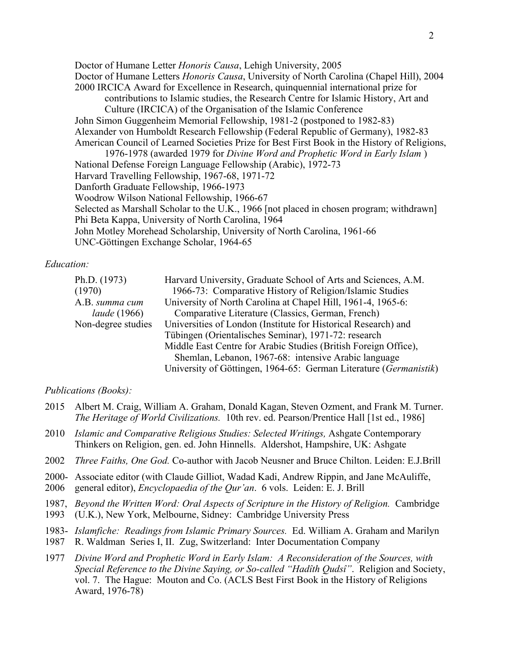Doctor of Humane Letter *Honoris Causa*, Lehigh University, 2005 Doctor of Humane Letters *Honoris Causa*, University of North Carolina (Chapel Hill), 2004 2000 IRCICA Award for Excellence in Research, quinquennial international prize for contributions to Islamic studies, the Research Centre for Islamic History, Art and Culture (IRCICA) of the Organisation of the Islamic Conference John Simon Guggenheim Memorial Fellowship, 1981-2 (postponed to 1982-83) Alexander von Humboldt Research Fellowship (Federal Republic of Germany), 1982-83 American Council of Learned Societies Prize for Best First Book in the History of Religions, 1976-1978 (awarded 1979 for *Divine Word and Prophetic Word in Early Islam* ) National Defense Foreign Language Fellowship (Arabic), 1972-73 Harvard Travelling Fellowship, 1967-68, 1971-72 Danforth Graduate Fellowship, 1966-1973 Woodrow Wilson National Fellowship, 1966-67 Selected as Marshall Scholar to the U.K., 1966 [not placed in chosen program; withdrawn] Phi Beta Kappa, University of North Carolina, 1964 John Motley Morehead Scholarship, University of North Carolina, 1961-66 UNC-Göttingen Exchange Scholar, 1964-65

### *Education:*

| Ph.D. (1973)        | Harvard University, Graduate School of Arts and Sciences, A.M.    |
|---------------------|-------------------------------------------------------------------|
| (1970)              | 1966-73: Comparative History of Religion/Islamic Studies          |
| A.B. summa cum      | University of North Carolina at Chapel Hill, 1961-4, 1965-6:      |
| <i>laude</i> (1966) | Comparative Literature (Classics, German, French)                 |
| Non-degree studies  | Universities of London (Institute for Historical Research) and    |
|                     | Tübingen (Orientalisches Seminar), 1971-72: research              |
|                     | Middle East Centre for Arabic Studies (British Foreign Office),   |
|                     | Shemlan, Lebanon, 1967-68: intensive Arabic language              |
|                     | University of Göttingen, 1964-65: German Literature (Germanistik) |

## *Publications (Books):*

- 2015 Albert M. Craig, William A. Graham, Donald Kagan, Steven Ozment, and Frank M. Turner. *The Heritage of World Civilizations.* 10th rev. ed. Pearson/Prentice Hall [1st ed., 1986]
- 2010 *Islamic and Comparative Religious Studies: Selected Writings,* Ashgate Contemporary Thinkers on Religion, gen. ed. John Hinnells. Aldershot, Hampshire, UK: Ashgate
- 2002 *Three Faiths, One God.* Co-author with Jacob Neusner and Bruce Chilton. Leiden: E.J.Brill
- 2000- Associate editor (with Claude Gilliot, Wadad Kadi, Andrew Rippin, and Jane McAuliffe,
- 2006 general editor), *Encyclopaedia of the Qur'an*. 6 vols. Leiden: E. J. Brill
- 1987, *Beyond the Written Word: Oral Aspects of Scripture in the History of Religion.* Cambridge 1993 (U.K.), New York, Melbourne, Sidney: Cambridge University Press
- 1983- *Islamfiche: Readings from Islamic Primary Sources.* Ed. William A. Graham and Marilyn
- 1987 R. Waldman Series I, II. Zug, Switzerland: Inter Documentation Company
- 1977 *Divine Word and Prophetic Word in Early Islam: A Reconsideration of the Sources, with Special Reference to the Divine Saying, or So-called "Hadîth Qudsî"*. Religion and Society, vol. 7. The Hague: Mouton and Co. (ACLS Best First Book in the History of Religions Award, 1976-78)